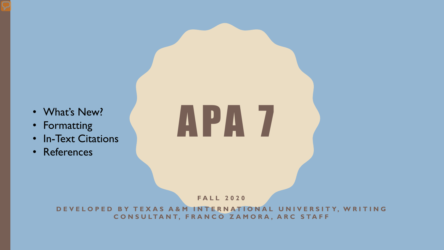- What's New?
- Formatting
- In-Text Citations
- References

# APA 7

**FALL 2020**

**DEVELOPED BY TEXAS A&M INTERNATIONAL UNIVERSITY, WRITING C O N S U LTA N T, F R A N C O Z A M O R A , A R C S TA F F**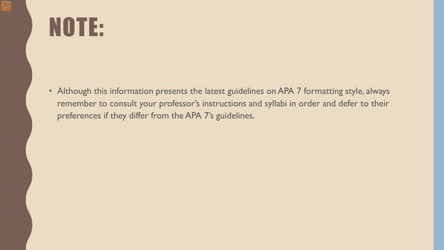# NOTE:

• Although this information presents the latest guidelines on APA 7 formatting style, always remember to consult your professor's instructions and syllabi in order and defer to their preferences if they differ from the APA 7's guidelines.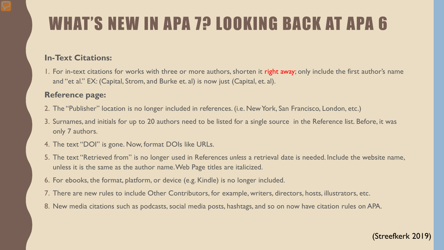## WHAT'S NEW IN APA 7? LOOKING BACK AT APA 6

### **In-Text Citations:**

1. For in-text citations for works with three or more authors, shorten it right away; only include the first author's name and "et al." EX: (Capital, Strom, and Burke et. al) is now just (Capital, et. al).

### **Reference page:**

- 2. The "Publisher" location is no longer included in references. (i.e. New York, San Francisco, London, etc.)
- 3. Surnames, and initials for up to 20 authors need to be listed for a single source in the Reference list. Before, it was only 7 authors.
- 4. The text "DOI" is gone. Now, format DOIs like URLs.
- 5. The text "Retrieved from" is no longer used in References *unless* a retrieval date is needed. Include the website name, unless it is the same as the author name. Web Page titles are italicized.
- 6. For ebooks, the format, platform, or device (e.g. Kindle) is no longer included.
- 7. There are new rules to include Other Contributors, for example, writers, directors, hosts, illustrators, etc.
- 8. New media citations such as podcasts, social media posts, hashtags, and so on now have citation rules on APA.

### (Streefkerk 2019)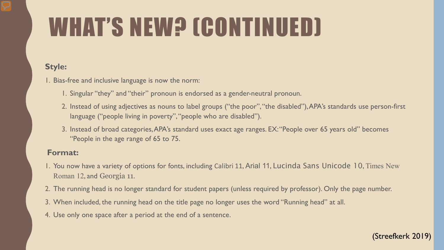# WHAT'S NEW? (CONTINUED)

### **Style:**

- 1. Bias-free and inclusive language is now the norm:
	- 1. Singular "they" and "their" pronoun is endorsed as a gender-neutral pronoun.
	- 2. Instead of using adjectives as nouns to label groups ("the poor", "the disabled"), APA's standards use person-first language ("people living in poverty", "people who are disabled").
	- 3. Instead of broad categories, APA's standard uses exact age ranges. EX: "People over 65 years old" becomes "People in the age range of 65 to 75.

### **Format:**

- 1. You now have a variety of options for fonts, including Calibri 11, Arial 11, Lucinda Sans Unicode 10, Times New Roman 12, and Georgia 11.
- 2. The running head is no longer standard for student papers (unless required by professor). Only the page number.
- 3. When included, the running head on the title page no longer uses the word "Running head" at all.
- 4. Use only one space after a period at the end of a sentence.

### (Streefkerk 2019)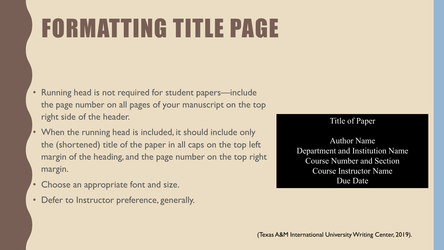# FORMATTING TITLE PAGE

- Running head is not required for student papers—include the page number on all pages of your manuscript on the top right side of the header.
- When the running head is included, it should include only the (shortened) title of the paper in all caps on the top left margin of the heading, and the page number on the top right margin.
- Choose an appropriate font and size.
- Defer to Instructor preference, generally.

### Title of Paper

Author Name Department and Institution Name Course Number and Section Course Instructor Name Due Date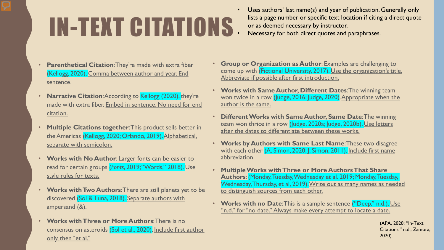# IN-TEXT CITATIONS

- Uses authors' last name(s) and year of publication. Generally only lists a page number or specific text location if citing a direct quote or as deemed necessary by instructor.
- Necessary for both direct quotes and paraphrases.

- **Parenthetical Citation**: They're made with extra fiber (Kellogg, 2020). Comma between author and year. End sentence.
- **Narrative Citation: According to Kellogg (2020), they're** made with extra fiber. Embed in sentence. No need for end citation.
- **Multiple Citations together**: This product sells better in the Americas (Kellogg, 2020; Orlando, 2019). Alphabetical, separate with semicolon.
- **Works with No Author**: Larger fonts can be easier to read for certain groups (*Fonts*, 2019; "Words," 2018). Use style rules for texts.
- **Works with Two Authors**: There are still planets yet to be discovered (Sol & Luna, 2018). Separate authors with ampersand (&).
- **Works with Three or More Authors**: There is no consensus on asteroids (Sol et al., 2020). Include first author only, then "et al."
- **Group or Organization as Author**: Examples are challenging to come up with (Fictional University, 2017). Use the organization's title. Abbreviate if possible after first introduction.
- **Works with Same Author, Different Dates**: The winning team won twice in a row (Judge, 2016; Judge, 2020). Appropriate when the author is the same.
- **Different Works with Same Author, Same Date**: The winning team won thrice in a row (Judge, 2020a; Judge, 2020b). Use letters after the dates to differentiate between these works.
- **Works by Authors with Same Last Name**: These two disagree with each other (A. Simon, 2020; J. Simon, 2011). Include first name abbreviation.
- **Multiple Works with Three or More Authors That Share Authors**: (Monday, Tuesday, Wednesday et al. 2019; Monday, Tuesday, Wednesday, Thursday, et al, 2019). Write out as many names as needed to distinguish sources from each other.
- **Works with no Date**: This is a sample sentence ("Deep," n.d.). Use "n.d." for "no date." Always make every attempt to locate a date.

(APA, 2020; "In-Text Citations," n.d.; Zamora, 2020).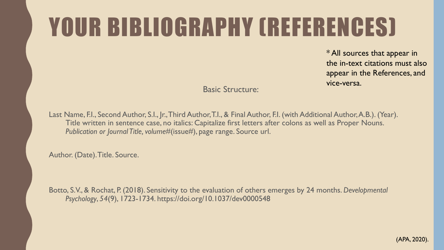# YOUR BIBLIOGRAPHY (REFERENCES)

\* All sources that appear in the in-text citations must also appear in the References, and vice-versa.

Basic Structure:

Last Name, F.I., Second Author, S.I., Jr., Third Author, T.I., & Final Author, F.I. (with Additional Author, A.B.). (Year). Title written in sentence case, no italics: Capitalize first letters after colons as well as Proper Nouns. *Publication or Journal Title, volume#*(issue#), page range. Source url.

Author. (Date). Title. Source.

Botto, S.V., & Rochat, P. (2018). Sensitivity to the evaluation of others emerges by 24 months. *Developmental Psychology*, *54*(9), 1723-1734. https://doi.org/10.1037/dev0000548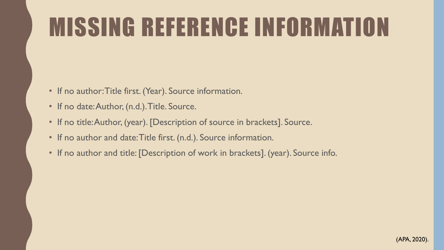# MISSING REFERENCE INFORMATION

- If no author: Title first. (Year). Source information.
- If no date: Author, (n.d.). Title. Source.
- If no title: Author, (year). [Description of source in brackets]. Source.
- If no author and date: Title first. (n.d.). Source information.
- If no author and title: [Description of work in brackets]. (year). Source info.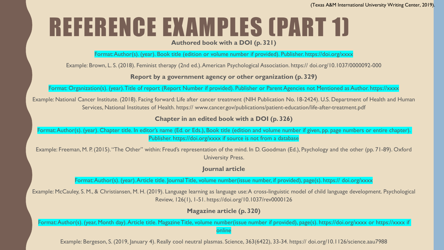# REFERENCE EXAMPLES (PART 1)

**Authored book with a DOI (p. 321)** 

Format: Author(s). (year). Book title (edition or volume number if provided). Publisher. https://doi.org/xxxx

Example: Brown, L. S. (2018). Feminist therapy (2nd ed.). American Psychological Association. https:// doi.org/10.1037/0000092-000

### **Report by a government agency or other organization (p. 329)**

Format: Organization(s). (year). Title of report (Report Number if provided). Publisher or Parent Agencies not Mentioned as Author. https://xxxx

Example: National Cancer Institute. (2018). Facing forward: Life after cancer treatment (NIH Publication No. 18-2424). U.S. Department of Health and Human Services, National Institutes of Health. https:// www.cancer.gov/publications/patient-education/life-after-treatment.pdf

### **Chapter in an edited book with a DOI (p. 326)**

Format: Author(s). (year). Chapter title. In editor's name (Ed. or Eds.), Book title (edition and volume number if given, pp. page numbers or entire chapter). Publisher. https://doi.org/xxxx if source is not from a database

Example: Freeman, M. P. (2015). "The Other" within: Freud's representation of the mind. In D. Goodman (Ed.), Psychology and the other (pp. 71-89). Oxford University Press.

#### **Journal article**

Format: Author(s). (year). Article title. Journal Title, volume number(issue number, if provided), page(s). https:// doi.org/xxxx

Example: McCauley, S. M., & Christiansen, M. H. (2019). Language learning as language use: A cross-linguistic model of child language development. Psychological Review, 126(1), 1-51. https://doi.org/10.1037/rev0000126

### **Magazine article (p. 320)**

Format: Author(s). (year, Month day). Article title. Magazine Title, volume number(issue number if provided), page(s). https://doi.org/xxxx or https://xxxx if **lonline** 

Example: Bergeson, S. (2019, January 4). Really cool neutral plasmas. Science, 363(6422), 33-34. https:// doi.org/10.1126/science.aau7988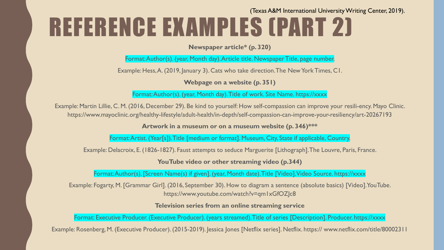### REFERENCE EXAMPLES (PART 2) (Texas A&M International University Writing Center, 2019).

**Newspaper article\* (p. 320)** 

Format: Author(s). (year, Month day). Article title. Newspaper Title, page number.

Example: Hess, A. (2019, January 3). Cats who take direction. The New York Times, C1.

**Webpage on a website (p. 351)** 

Format: Author(s). (year, Month day). Title of work. Site Name. https://xxxx

Example: Martin Lillie, C. M. (2016, December 29). Be kind to yourself: How self-compassion can improve your resili-ency. Mayo Clinic. https://www.mayoclinic.org/healthy-lifestyle/adult-health/in-depth/self-compassion-can-improve-your-resiliency/art-20267193

**Artwork in a museum or on a museum website (p. 346)\*\*\*** 

Format: Artist. (Year[s]). Title [medium or format]. Museum, City, State if applicable, Country.

Example: Delacroix, E. (1826-1827). Faust attempts to seduce Marguerite [Lithograph]. The Louvre, Paris, France.

**YouTube video or other streaming video (p.344)** 

Format: Author(s). [Screen Name(s) if given]. (year, Month date). Title [Video]. Video Source. https://xxxx

Example: Fogarty, M. [Grammar Girl]. (2016, September 30). How to diagram a sentence (absolute basics) [Video]. YouTube. https://www.youtube.com/watch?v=qm1xGfOZJc8

**Television series from an online streaming service** 

Format: Executive Producer. (Executive Producer). (years streamed). Title of series [Description]. Producer. https://xxxx

Example: Rosenberg, M. (Executive Producer). (2015-2019). Jessica Jones [Netflix series]. Netflix. https:// www.netflix.com/title/80002311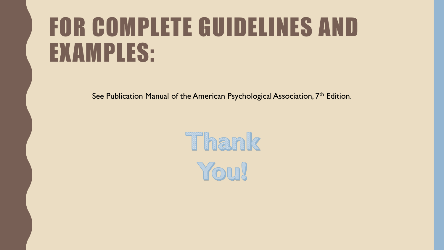## FOR COMPLETE GUIDELINES AND EXAMPLES:

See Publication Manual of the American Psychological Association, 7<sup>th</sup> Edition.